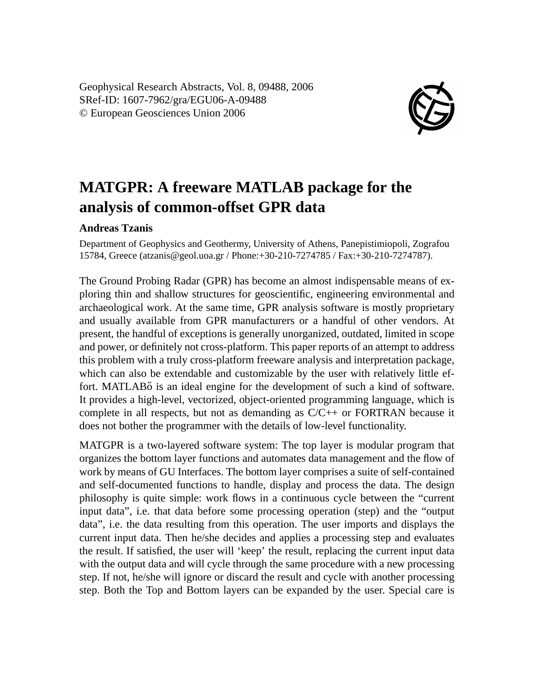Geophysical Research Abstracts, Vol. 8, 09488, 2006 SRef-ID: 1607-7962/gra/EGU06-A-09488 © European Geosciences Union 2006



## **MATGPR: A freeware MATLAB package for the analysis of common-offset GPR data**

## **Andreas Tzanis**

Department of Geophysics and Geothermy, University of Athens, Panepistimiopoli, Zografou 15784, Greece (atzanis@geol.uoa.gr / Phone:+30-210-7274785 / Fax:+30-210-7274787).

The Ground Probing Radar (GPR) has become an almost indispensable means of exploring thin and shallow structures for geoscientific, engineering environmental and archaeological work. At the same time, GPR analysis software is mostly proprietary and usually available from GPR manufacturers or a handful of other vendors. At present, the handful of exceptions is generally unorganized, outdated, limited in scope and power, or definitely not cross-platform. This paper reports of an attempt to address this problem with a truly cross-platform freeware analysis and interpretation package, which can also be extendable and customizable by the user with relatively little effort. MATLAB<sub>6</sub> is an ideal engine for the development of such a kind of software. It provides a high-level, vectorized, object-oriented programming language, which is complete in all respects, but not as demanding as  $C/C++$  or FORTRAN because it does not bother the programmer with the details of low-level functionality.

MATGPR is a two-layered software system: The top layer is modular program that organizes the bottom layer functions and automates data management and the flow of work by means of GU Interfaces. The bottom layer comprises a suite of self-contained and self-documented functions to handle, display and process the data. The design philosophy is quite simple: work flows in a continuous cycle between the "current input data", i.e. that data before some processing operation (step) and the "output data", i.e. the data resulting from this operation. The user imports and displays the current input data. Then he/she decides and applies a processing step and evaluates the result. If satisfied, the user will 'keep' the result, replacing the current input data with the output data and will cycle through the same procedure with a new processing step. If not, he/she will ignore or discard the result and cycle with another processing step. Both the Top and Bottom layers can be expanded by the user. Special care is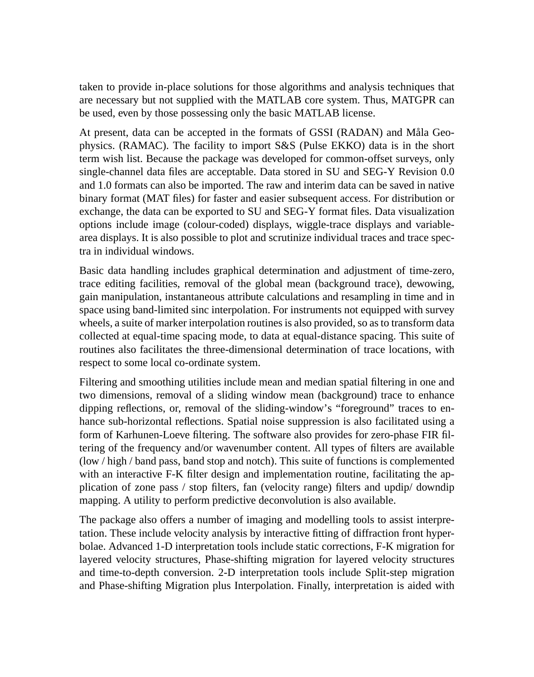taken to provide in-place solutions for those algorithms and analysis techniques that are necessary but not supplied with the MATLAB core system. Thus, MATGPR can be used, even by those possessing only the basic MATLAB license.

At present, data can be accepted in the formats of GSSI (RADAN) and Måla Geophysics. (RAMAC). The facility to import S&S (Pulse EKKO) data is in the short term wish list. Because the package was developed for common-offset surveys, only single-channel data files are acceptable. Data stored in SU and SEG-Y Revision 0.0 and 1.0 formats can also be imported. The raw and interim data can be saved in native binary format (MAT files) for faster and easier subsequent access. For distribution or exchange, the data can be exported to SU and SEG-Y format files. Data visualization options include image (colour-coded) displays, wiggle-trace displays and variablearea displays. It is also possible to plot and scrutinize individual traces and trace spectra in individual windows.

Basic data handling includes graphical determination and adjustment of time-zero, trace editing facilities, removal of the global mean (background trace), dewowing, gain manipulation, instantaneous attribute calculations and resampling in time and in space using band-limited sinc interpolation. For instruments not equipped with survey wheels, a suite of marker interpolation routines is also provided, so as to transform data collected at equal-time spacing mode, to data at equal-distance spacing. This suite of routines also facilitates the three-dimensional determination of trace locations, with respect to some local co-ordinate system.

Filtering and smoothing utilities include mean and median spatial filtering in one and two dimensions, removal of a sliding window mean (background) trace to enhance dipping reflections, or, removal of the sliding-window's "foreground" traces to enhance sub-horizontal reflections. Spatial noise suppression is also facilitated using a form of Karhunen-Loeve filtering. The software also provides for zero-phase FIR filtering of the frequency and/or wavenumber content. All types of filters are available (low / high / band pass, band stop and notch). This suite of functions is complemented with an interactive F-K filter design and implementation routine, facilitating the application of zone pass / stop filters, fan (velocity range) filters and updip/ downdip mapping. A utility to perform predictive deconvolution is also available.

The package also offers a number of imaging and modelling tools to assist interpretation. These include velocity analysis by interactive fitting of diffraction front hyperbolae. Advanced 1-D interpretation tools include static corrections, F-K migration for layered velocity structures, Phase-shifting migration for layered velocity structures and time-to-depth conversion. 2-D interpretation tools include Split-step migration and Phase-shifting Migration plus Interpolation. Finally, interpretation is aided with